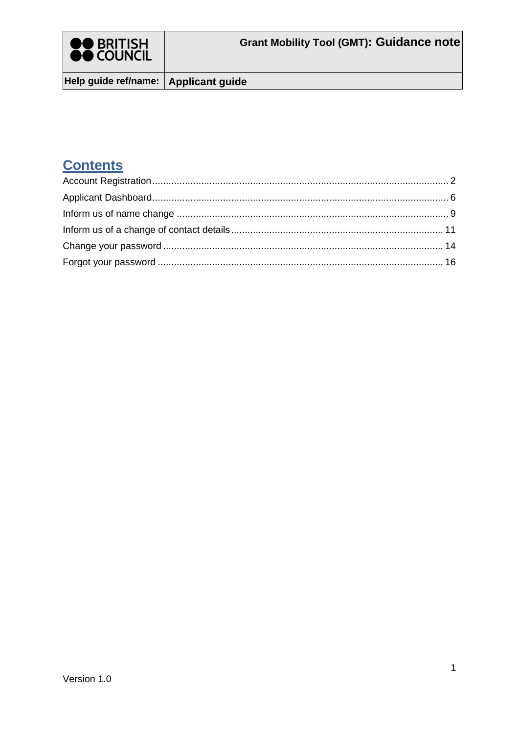

Help guide ref/name: Applicant guide

### **Contents**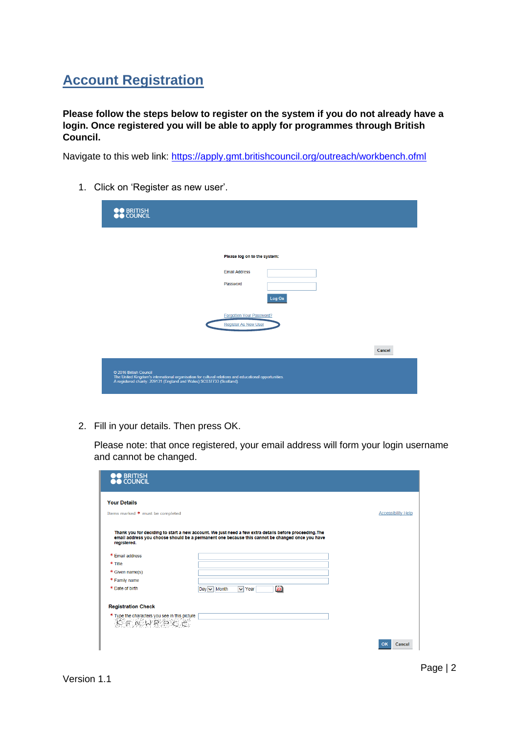## <span id="page-1-0"></span>**Account Registration**

**Please follow the steps below to register on the system if you do not already have a login. Once registered you will be able to apply for programmes through British Council.** 

Navigate to this web link:<https://apply.gmt.britishcouncil.org/outreach/workbench.ofml>

| <b>OO</b> BRITISH<br><b>OO</b> COUNCIL                                                                                                                                                                   |                                                  |        |        |
|----------------------------------------------------------------------------------------------------------------------------------------------------------------------------------------------------------|--------------------------------------------------|--------|--------|
|                                                                                                                                                                                                          | Please log on to the system:                     |        |        |
|                                                                                                                                                                                                          | <b>Email Address</b><br>Password                 |        |        |
|                                                                                                                                                                                                          |                                                  | Log On |        |
|                                                                                                                                                                                                          | Forgotten Your Password?<br>Register As New User |        |        |
|                                                                                                                                                                                                          |                                                  |        | Cancel |
| © 2016 British Council<br>The United Kingdom's international organisation for cultural relations and educational opportunities.<br>A registered charity: 209131 (England and Wales) SC037733 (Scotland). |                                                  |        |        |

1. Click on 'Register as new user'.

2. Fill in your details. Then press OK.

Please note: that once registered, your email address will form your login username and cannot be changed.

| <b>BRITISH</b><br><b>COUNCIL</b>                                                                       |                                                                                                                                                                                                           |                           |
|--------------------------------------------------------------------------------------------------------|-----------------------------------------------------------------------------------------------------------------------------------------------------------------------------------------------------------|---------------------------|
| <b>Your Details</b>                                                                                    |                                                                                                                                                                                                           |                           |
| Items marked * must be completed                                                                       |                                                                                                                                                                                                           | <b>Accessibility Help</b> |
| registered.                                                                                            | Thank you for deciding to start a new account. We just need a few extra details before proceeding. The<br>email address you choose should be a permanent one because this cannot be changed once you have |                           |
| * Email address                                                                                        |                                                                                                                                                                                                           |                           |
| * Title                                                                                                |                                                                                                                                                                                                           |                           |
| * Given name(s)                                                                                        |                                                                                                                                                                                                           |                           |
| * Family name                                                                                          |                                                                                                                                                                                                           |                           |
| * Date of birth                                                                                        | 23 <br>$Day \vee$ Month<br>$\vee$ Year                                                                                                                                                                    |                           |
| <b>Registration Check</b>                                                                              |                                                                                                                                                                                                           |                           |
| * Type the characters you see in this picture<br>$\begin{array}{c} \uparrow \\ \downarrow \end{array}$ |                                                                                                                                                                                                           |                           |
|                                                                                                        |                                                                                                                                                                                                           | OK<br>Cancel              |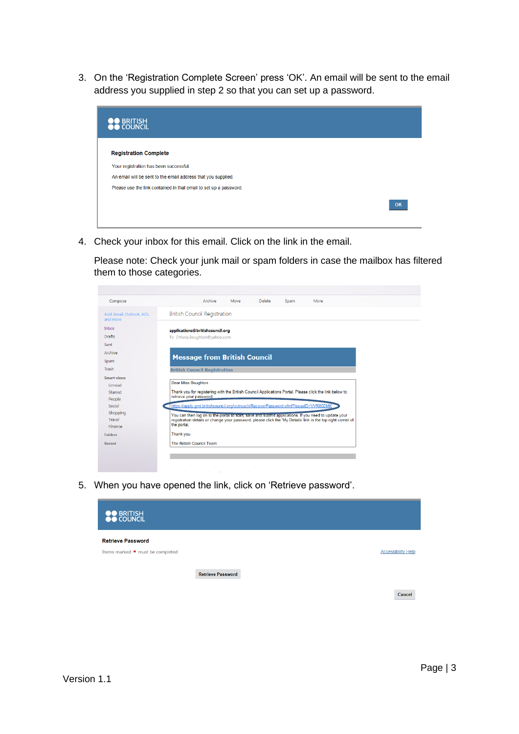3. On the 'Registration Complete Screen' press 'OK'. An email will be sent to the email address you supplied in step 2 so that you can set up a password.



4. Check your inbox for this email. Click on the link in the email.

Please note: Check your junk mail or spam folders in case the mailbox has filtered them to those categories.

| Compose                             | Archive<br>Move<br><b>Delete</b><br>Spam<br>More                                                                           |
|-------------------------------------|----------------------------------------------------------------------------------------------------------------------------|
| Add Gmail, Outlook, AOL<br>and more | <b>British Council Registration</b>                                                                                        |
| <b>Inbox</b>                        | applications@britishcouncil.org                                                                                            |
| <b>Drafts</b>                       | To CMaria.Boughton@vahoo.com                                                                                               |
| Sent                                |                                                                                                                            |
| Archive                             |                                                                                                                            |
| Spam                                | <b>Message from British Council</b>                                                                                        |
| Trash                               | <b>British Council Registration</b>                                                                                        |
| <b>Smart views</b>                  |                                                                                                                            |
| Unread                              | <b>Dear Miss Boughton</b>                                                                                                  |
| Starred                             | Thank you for registering with the British Council Applications Portal. Please click the link below to                     |
| People                              | retrieve your password:                                                                                                    |
| Social                              | https://apply.gmt.britishcouncil.org/outreach/RecoverPassword.ofml?IssueID=VVR802MK                                        |
| Shopping                            | You can then log on to the portal to start, save and submit applications. If you need to update your                       |
| Travel                              | registration details or change your password, please click the 'My Details' link in the top right corner of<br>the portal. |
| Finance                             |                                                                                                                            |
| <b>Folders</b>                      | Thank you                                                                                                                  |
| Recent                              | The British Council Team                                                                                                   |
|                                     |                                                                                                                            |
|                                     |                                                                                                                            |

5. When you have opened the link, click on 'Retrieve password'.



Cancel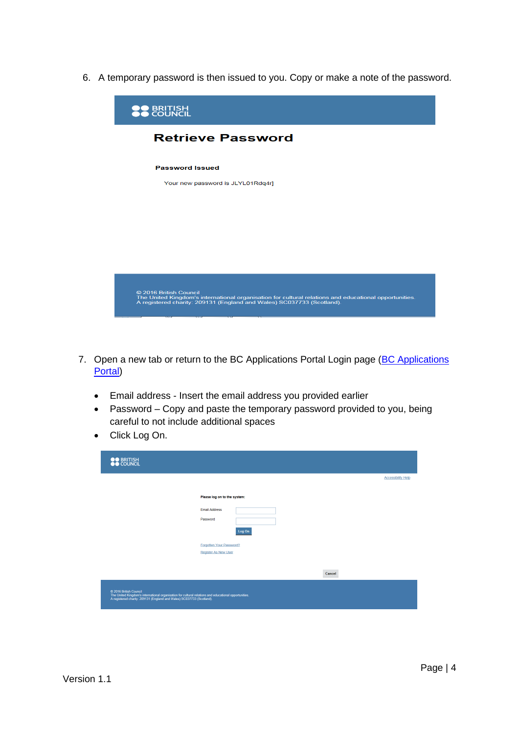6. A temporary password is then issued to you. Copy or make a note of the password.



- 7. Open a new tab or return to the BC Applications Portal Login page (BC Applications [Portal\)](https://apply.gmt.britishcouncil.org/outreach/workbench.ofml)
	- Email address Insert the email address you provided earlier
	- Password Copy and paste the temporary password provided to you, being careful to not include additional spaces
	- Click Log On.

| <b>OO</b> BRITISH<br><b>OO</b> COUNCIL                                                                                                                                                                   |                                 |                           |
|----------------------------------------------------------------------------------------------------------------------------------------------------------------------------------------------------------|---------------------------------|---------------------------|
|                                                                                                                                                                                                          |                                 | <b>Accessibility Help</b> |
|                                                                                                                                                                                                          | Please log on to the system:    |                           |
|                                                                                                                                                                                                          | <b>Email Address</b>            |                           |
|                                                                                                                                                                                                          | Password                        |                           |
|                                                                                                                                                                                                          | Log On                          |                           |
|                                                                                                                                                                                                          | <b>Forgotten Your Password?</b> |                           |
|                                                                                                                                                                                                          | <b>Register As New User</b>     |                           |
|                                                                                                                                                                                                          | Cancel                          |                           |
| @ 2016 British Council<br>The United Kingdom's international organisation for cultural relations and educational opportunities.<br>A registered charity: 209131 (England and Wales) SC037733 (Scotland). |                                 |                           |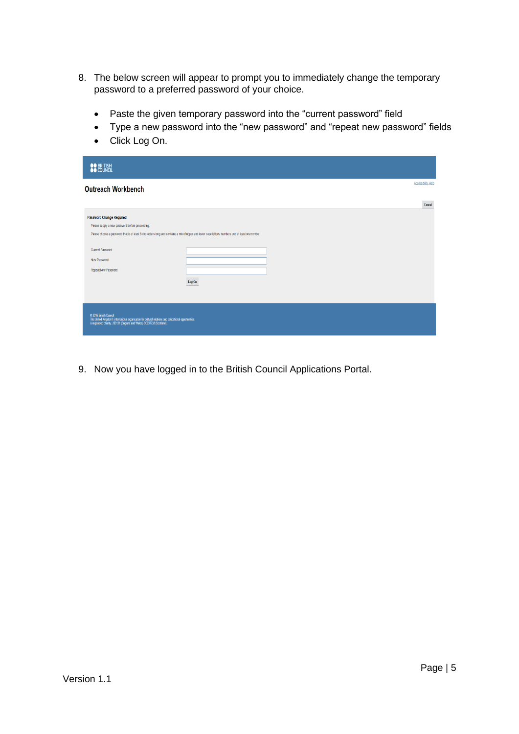- 8. The below screen will appear to prompt you to immediately change the temporary password to a preferred password of your choice.
	- Paste the given temporary password into the "current password" field
	- Type a new password into the "new password" and "repeat new password" fields
	- Click Log On.

| <b>OO</b> BRITISH                                                                                                                                                                                                                                                                                       |        |                           |
|---------------------------------------------------------------------------------------------------------------------------------------------------------------------------------------------------------------------------------------------------------------------------------------------------------|--------|---------------------------|
| <b>Outreach Workbench</b>                                                                                                                                                                                                                                                                               |        | <b>Accessibility Help</b> |
|                                                                                                                                                                                                                                                                                                         |        | Cancel                    |
| <b>Password Change Required</b><br>Please supply a new password before proceeding.<br>Please choose a password that is at least 8 characters long and contains a mix of upper and lower case letters, numbers and at least one symbol<br><b>Current Password</b><br>New Password<br>Repeat New Password | Log On |                           |
| C 2016 British Council<br>The United Kingdom's international organisation for cultural relations and educational opportunities.<br>A registered charity: 209131 (England and Wales) SC037733 (Scotland).                                                                                                |        |                           |

9. Now you have logged in to the British Council Applications Portal.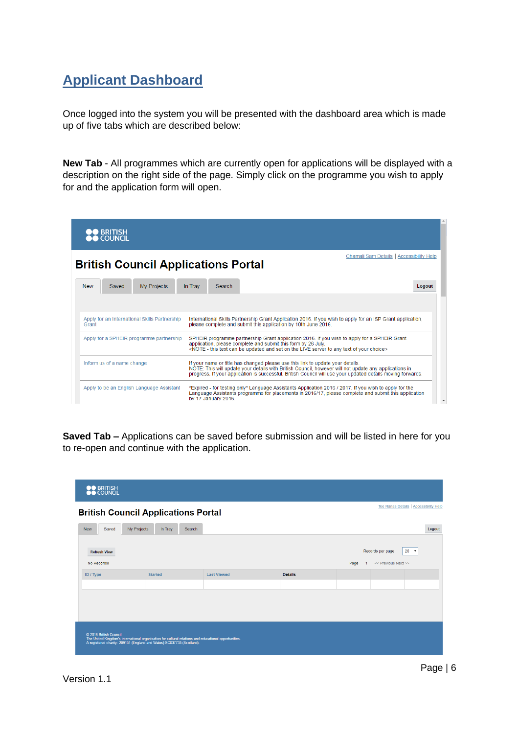## <span id="page-5-0"></span>**Applicant Dashboard**

Once logged into the system you will be presented with the dashboard area which is made up of five tabs which are described below:

**New Tab** - All programmes which are currently open for applications will be displayed with a description on the right side of the page. Simply click on the programme you wish to apply for and the application form will open.

| ) British<br>) Council                                 |                                                                                                                                                                                                                                                                                                               |                                          |
|--------------------------------------------------------|---------------------------------------------------------------------------------------------------------------------------------------------------------------------------------------------------------------------------------------------------------------------------------------------------------------|------------------------------------------|
| <b>British Council Applications Portal</b>             |                                                                                                                                                                                                                                                                                                               | Chamali Sam Details   Accessibility Help |
| My Projects<br><b>New</b><br>Saved                     | In Tray<br>Search                                                                                                                                                                                                                                                                                             | Logout                                   |
| Apply for an International Skills Partnership<br>Grant | International Skills Partnership Grant Application 2016. If you wish to apply for an ISP Grant application,<br>please complete and submit this application by 10th June 2016.                                                                                                                                 |                                          |
| Apply for a SPHEIR programme partnership               | SPHEIR programme partnership Grant application 2016. If you wish to apply for a SPHEIR Grant<br>application, please complete and submit this form by 26 July.<br><note -="" and="" any="" be="" can="" choice="" live="" of="" on="" server="" set="" text="" the="" this="" to="" updated="" your=""></note> |                                          |
| Inform us of a name change                             | If your name or title has changed please use this link to update your details.<br>NOTE: This will update your details with British Council, however will not update any applications in<br>progress. If your application is successful. British Council will use your updated details moving forwards.        |                                          |
| Apply to be an English Language Assistant              | *Expired - for testing only* Language Assistants Application 2016 / 2017. If you wish to apply for the<br>Language Assistants programme for placements in 2016/17, please complete and submit this application<br>by 17 January 2016.                                                                         | $\overline{\mathbf{v}}$                  |

**Saved Tab –** Applications can be saved before submission and will be listed in here for you to re-open and continue with the application.

| <b>OO</b> BRITISH                                                                               |                                                                                                       |                    |                |                                                                                |        |  |
|-------------------------------------------------------------------------------------------------|-------------------------------------------------------------------------------------------------------|--------------------|----------------|--------------------------------------------------------------------------------|--------|--|
|                                                                                                 | Tee Ranas Details   Accessibility Help<br><b>British Council Applications Portal</b>                  |                    |                |                                                                                |        |  |
| My Projects<br>Saved<br><b>New</b>                                                              | Search<br>In Tray                                                                                     |                    |                |                                                                                | Logout |  |
| <b>Refresh View</b><br>No Records!                                                              |                                                                                                       |                    |                | Records per page<br>$20 \times$<br>Page<br><< Previous Next >><br>$\mathbf{1}$ |        |  |
| ID / Type                                                                                       | <b>Started</b>                                                                                        | <b>Last Viewed</b> | <b>Details</b> |                                                                                |        |  |
|                                                                                                 |                                                                                                       |                    |                |                                                                                |        |  |
| © 2016 British Council<br>A registered charity: 209131 (England and Wales) SC037733 (Scotland). | The United Kingdom's international organisation for cultural relations and educational opportunities. |                    |                |                                                                                |        |  |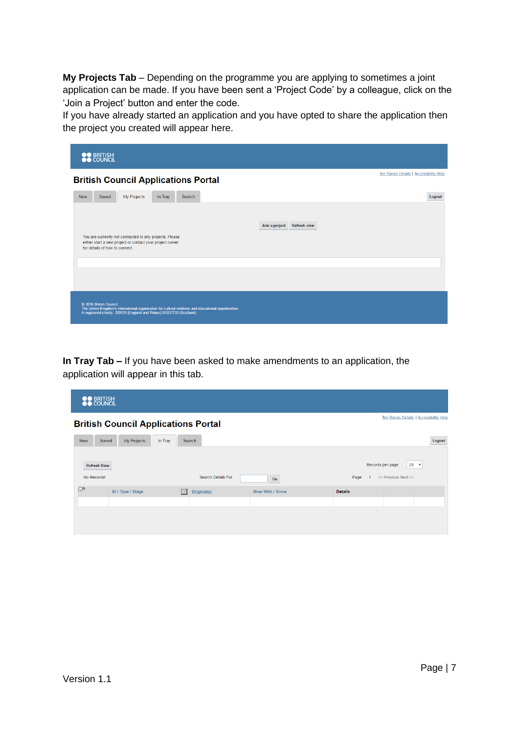**My Projects Tab** – Depending on the programme you are applying to sometimes a joint application can be made. If you have been sent a 'Project Code' by a colleague, click on the 'Join a Project' button and enter the code.

If you have already started an application and you have opted to share the application then the project you created will appear here.

| <b>OO</b> BRITISH<br><b>OO</b> COUNCIL                                                                                                                                                                   |                                        |  |  |  |  |
|----------------------------------------------------------------------------------------------------------------------------------------------------------------------------------------------------------|----------------------------------------|--|--|--|--|
| <b>British Council Applications Portal</b>                                                                                                                                                               | Tee Ranas Details   Accessibility Help |  |  |  |  |
| My Projects<br><b>New</b><br>Saved<br>In Tray<br>Search                                                                                                                                                  | Logout                                 |  |  |  |  |
| You are currently not connected to any projects. Please<br>either start a new project or contact your project owner<br>for details of how to connect.                                                    | Join a project<br><b>Refresh view</b>  |  |  |  |  |
|                                                                                                                                                                                                          |                                        |  |  |  |  |
| C 2016 British Council<br>The United Kingdom's international organisation for cultural relations and educational opportunities.<br>A registered charity: 209131 (England and Wales) SC037733 (Scotland). |                                        |  |  |  |  |

**In Tray Tab –** If you have been asked to make amendments to an application, the application will appear in this tab.

| <b>OO</b> BRITISH<br><b>OO</b> COUNCIL |                                                                                      |          |                     |                  |                |                     |             |
|----------------------------------------|--------------------------------------------------------------------------------------|----------|---------------------|------------------|----------------|---------------------|-------------|
|                                        | Tee Ranas Details   Accessibility Help<br><b>British Council Applications Portal</b> |          |                     |                  |                |                     |             |
| <b>New</b>                             | Saved<br>My Projects<br>In Tray<br>Search                                            |          |                     |                  | Logout         |                     |             |
| <b>Refresh View</b>                    |                                                                                      |          |                     |                  |                | Records per page    | $20 \times$ |
| No Records!                            |                                                                                      |          | Search Details For: | Go               | Page           | << Previous Next >> |             |
| O <sup>11</sup>                        | ID / Type / Stage                                                                    | $\Delta$ | Originator          | Now With / Since | <b>Details</b> |                     |             |
|                                        |                                                                                      |          |                     |                  |                |                     |             |
|                                        |                                                                                      |          |                     |                  |                |                     |             |
|                                        |                                                                                      |          |                     |                  |                |                     |             |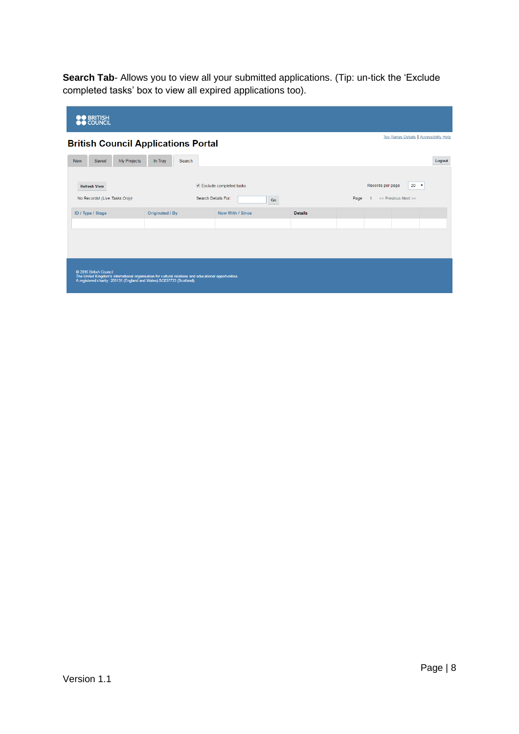**Search Tab**- Allows you to view all your submitted applications. (Tip: un-tick the 'Exclude completed tasks' box to view all expired applications too).

| <b>OO</b> BRITISH<br><b>OO</b> COUNCIL                                                                                                                                                                   |                                                                                      |                         |                |                                             |  |  |
|----------------------------------------------------------------------------------------------------------------------------------------------------------------------------------------------------------|--------------------------------------------------------------------------------------|-------------------------|----------------|---------------------------------------------|--|--|
|                                                                                                                                                                                                          | Tee Ranas Details   Accessibility Help<br><b>British Council Applications Portal</b> |                         |                |                                             |  |  |
| My Projects<br>Saved<br><b>New</b>                                                                                                                                                                       | In Tray<br>Search                                                                    |                         |                | Logout                                      |  |  |
| <b>Refresh View</b>                                                                                                                                                                                      |                                                                                      | Exclude completed tasks |                | $20 \times$<br>Records per page             |  |  |
| No Records! (Live Tasks Only)                                                                                                                                                                            |                                                                                      | Search Details For:     | Go             | << Previous Next >><br>Page<br>$\mathbf{1}$ |  |  |
| ID / Type / Stage                                                                                                                                                                                        | Originated / By                                                                      | Now With / Since        | <b>Details</b> |                                             |  |  |
|                                                                                                                                                                                                          |                                                                                      |                         |                |                                             |  |  |
|                                                                                                                                                                                                          |                                                                                      |                         |                |                                             |  |  |
|                                                                                                                                                                                                          |                                                                                      |                         |                |                                             |  |  |
| © 2016 British Council<br>The United Kingdom's international organisation for cultural relations and educational opportunities.<br>A registered charity: 209131 (England and Wales) SC037733 (Scotland). |                                                                                      |                         |                |                                             |  |  |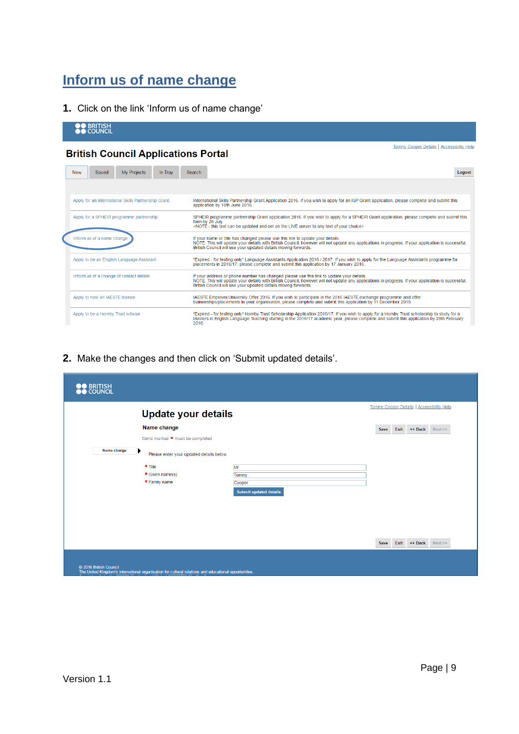## <span id="page-8-0"></span>**Inform us of name change**

Apply to be a Hornby Trust scholar

**1.** Click on the link 'Inform us of name change'

| <b>BRITISH</b><br><b>OO COUNCIL</b>                  |                                                                                                                                                                                                                                                                                                                  |
|------------------------------------------------------|------------------------------------------------------------------------------------------------------------------------------------------------------------------------------------------------------------------------------------------------------------------------------------------------------------------|
| <b>British Council Applications Portal</b>           | Tommy Cooper Details   Accessibility Help                                                                                                                                                                                                                                                                        |
| <b>My Projects</b><br>Saved<br>In Trav<br><b>New</b> | Search<br>Logout                                                                                                                                                                                                                                                                                                 |
|                                                      |                                                                                                                                                                                                                                                                                                                  |
| Apply for an International Skills Partnership Grant  | International Skills Partnership Grant Application 2016. If you wish to apply for an ISP Grant application, please complete and submit this<br>application by 10th June 2016.                                                                                                                                    |
| Apply for a SPHEIR programme partnership             | SPHEIR programme partnership Grant application 2016. If you wish to apply for a SPHEIR Grant application, please complete and submit this<br>form by 26 July.<br><note -="" and="" any="" be="" can="" choice="" live="" of="" on="" server="" set="" text="" the="" this="" to="" updated="" your=""></note>    |
| Inform us of a name change                           | If your name or title has changed please use this link to update your details.<br>NOTE: This will update your details with British Council, however will not update any applications in progress. If your application is successful,<br>British Council will use your updated details moving forwards.           |
| Apply to be an English Language Assistant            | *Expired - for testing only* Language Assistants Application 2016 / 2017. If you wish to apply for the Language Assistants programme for<br>placements in 2016/17, please complete and submit this application by 17 January 2016.                                                                               |
| Inform us of a change of contact details             | If your address or phone number has changed please use this link to update your details.<br>NOTE: This will update your details with British Council, however will not update any applications in progress. If your application is successful,<br>British Council will use your updated details moving forwards. |
| Apply to host an IAESTE trainee                      | IAESTE Employer/University Offer 2016. If you wish to participate in the 2016 IAESTE exchange programme and offer<br>traineeships/placements in your organisation, please complete and submit this application by 11 December 2015.                                                                              |

"Expired - for testing only" Hornby Trust Scholarship Application 2016/17. If you wish to apply for a Hornby Trust scholarship to study for a<br>Masters in English Language Teaching starting in the 2016/17 academic year, plea

**2.** Make the changes and then click on 'Submit updated details'.

|             | <b>Update your details</b>                   |                        |      | <b>Tommy Cooper Details   Accessibility Help</b> |      |
|-------------|----------------------------------------------|------------------------|------|--------------------------------------------------|------|
|             | Name change                                  |                        | Save | Exit << Back                                     | Next |
|             | Items marked * must be completed             |                        |      |                                                  |      |
| Name change | ▶<br>Please enter your updated details below |                        |      |                                                  |      |
|             | * Title                                      | Mr                     |      |                                                  |      |
|             | * Given name(s)                              | Tommy                  |      |                                                  |      |
|             | * Family name                                | Cooper                 |      |                                                  |      |
|             |                                              | Submit updated details |      |                                                  |      |
|             |                                              |                        |      |                                                  |      |
|             |                                              |                        |      |                                                  |      |
|             |                                              |                        |      |                                                  |      |
|             |                                              |                        |      |                                                  |      |
|             |                                              |                        | Save | Exit << Back Next>>                              |      |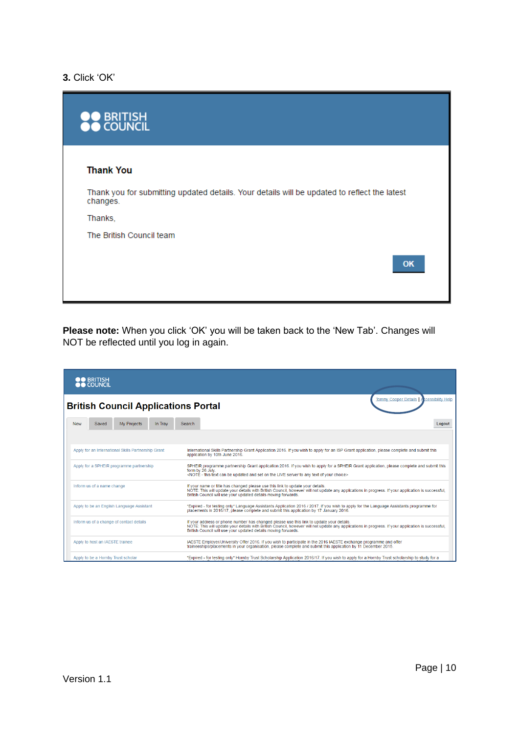### **3.** Click 'OK'

| <b>DO BRITISH<br/>DO COUNCIL</b>                                                                         |
|----------------------------------------------------------------------------------------------------------|
| <b>Thank You</b>                                                                                         |
| Thank you for submitting updated details. Your details will be updated to reflect the latest<br>changes. |
| Thanks,                                                                                                  |
| The British Council team                                                                                 |
| OK                                                                                                       |

**Please note:** When you click 'OK' you will be taken back to the 'New Tab'. Changes will NOT be reflected until you log in again.

| <b>OO</b> BRITISH<br><b>OO</b> COUNCIL              |                                                                                                                                                                                                                                                                                                                  |
|-----------------------------------------------------|------------------------------------------------------------------------------------------------------------------------------------------------------------------------------------------------------------------------------------------------------------------------------------------------------------------|
| <b>British Council Applications Portal</b>          | <b>Tommy Cooper Details</b><br>cessibility Help                                                                                                                                                                                                                                                                  |
| My Projects<br>Saved<br>In Trav<br><b>New</b>       | Search<br>Logout                                                                                                                                                                                                                                                                                                 |
|                                                     |                                                                                                                                                                                                                                                                                                                  |
| Apply for an International Skills Partnership Grant | International Skills Partnership Grant Application 2016. If you wish to apply for an ISP Grant application, please complete and submit this<br>application by 10th June 2016.                                                                                                                                    |
| Apply for a SPHEIR programme partnership            | SPHEIR programme partnership Grant application 2016. If you wish to apply for a SPHEIR Grant application, please complete and submit this<br>form by 26 July.<br><note -="" and="" any="" be="" can="" choice="" live="" of="" on="" server="" set="" text="" the="" this="" to="" updated="" your=""></note>    |
| Inform us of a name change                          | If your name or title has changed please use this link to update your details.<br>NOTE: This will update your details with British Council, however will not update any applications in progress. If your application is successful.<br>British Council will use your updated details moving forwards.           |
| Apply to be an English Language Assistant           | *Expired - for testing only* Language Assistants Application 2016 / 2017. If you wish to apply for the Language Assistants programme for<br>placements in 2016/17, please complete and submit this application by 17 January 2016.                                                                               |
| Inform us of a change of contact details            | If your address or phone number has changed please use this link to update your details.<br>NOTE: This will update your details with British Council, however will not update any applications in progress. If your application is successful,<br>British Council will use your updated details moving forwards. |
| Apply to host an IAESTE trainee                     | IAESTE Employer/University Offer 2016. If you wish to participate in the 2016 IAESTE exchange programme and offer<br>traineeships/placements in your organisation, please complete and submit this application by 11 December 2015.                                                                              |
| Apply to be a Hornby Trust scholar                  | *Expired - for testing only* Hornby Trust Scholarship Application 2016/17. If you wish to apply for a Hornby Trust scholarship to study for a                                                                                                                                                                    |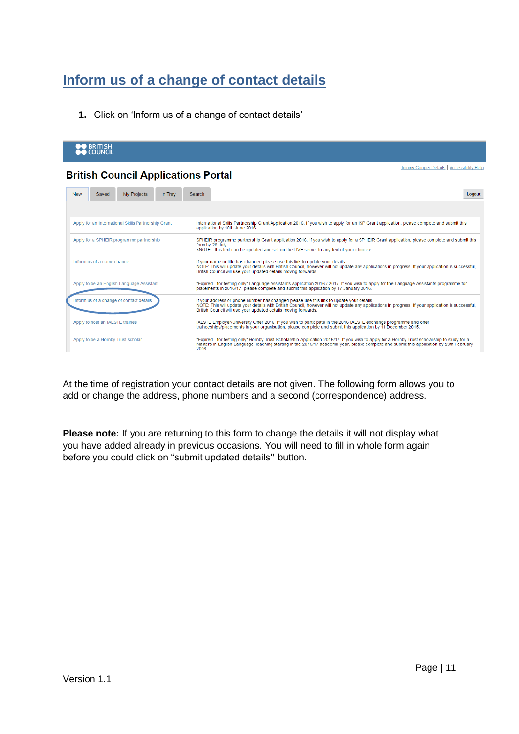# <span id="page-10-0"></span>**Inform us of a change of contact details**

**1.** Click on 'Inform us of a change of contact details'

| <b>OO</b> BRITISH<br><b>OO COUNCIL</b>              |                                                                                                                                                                                                                                                                                                                  |
|-----------------------------------------------------|------------------------------------------------------------------------------------------------------------------------------------------------------------------------------------------------------------------------------------------------------------------------------------------------------------------|
| <b>British Council Applications Portal</b>          | Tommy Cooper Details   Accessibility Help                                                                                                                                                                                                                                                                        |
| My Projects<br>Saved<br>In Trav<br><b>New</b>       | Logout<br>Search                                                                                                                                                                                                                                                                                                 |
| Apply for an International Skills Partnership Grant | International Skills Partnership Grant Application 2016. If you wish to apply for an ISP Grant application, please complete and submit this<br>application by 10th June 2016.                                                                                                                                    |
| Apply for a SPHEIR programme partnership            | SPHEIR programme partnership Grant application 2016. If you wish to apply for a SPHEIR Grant application, please complete and submit this<br>form by 26 July.<br><noté -="" and="" any="" be="" can="" choice="" live="" of="" on="" server="" set="" text="" the="" this="" to="" updated="" your=""></noté>    |
| Inform us of a name change                          | If your name or title has changed please use this link to update your details.<br>NOTE: This will update your details with British Council, however will not update any applications in progress. If your application is successful,<br>British Council will use your updated details moving forwards.           |
| Apply to be an English Language Assistant           | *Expired - for testing only* Language Assistants Application 2016 / 2017. If you wish to apply for the Language Assistants programme for<br>placements in 2016/17, please complete and submit this application by 17 January 2016.                                                                               |
| Inform us of a change of contact details            | If your address or phone number has changed please use this link to update your details.<br>NOTE: This will update your details with British Council, however will not update any applications in progress. If your application is successful.<br>British Council will use your updated details moving forwards. |
| Apply to host an IAESTE trainee                     | IAESTE Employer/University Offer 2016. If you wish to participate in the 2016 IAESTE exchange programme and offer<br>traineeships/placements in your organisation, please complete and submit this application by 11 December 2015.                                                                              |
| Apply to be a Hornby Trust scholar                  | *Expired - for testing only* Hornby Trust Scholarship Application 2016/17. If you wish to apply for a Hornby Trust scholarship to study for a<br>Masters in English Language Teaching starting in the 2016/17 academic year, please complete and submit this application by 29th February<br>2016.               |

At the time of registration your contact details are not given. The following form allows you to add or change the address, phone numbers and a second (correspondence) address.

**Please note:** If you are returning to this form to change the details it will not display what you have added already in previous occasions. You will need to fill in whole form again before you could click on "submit updated details**"** button.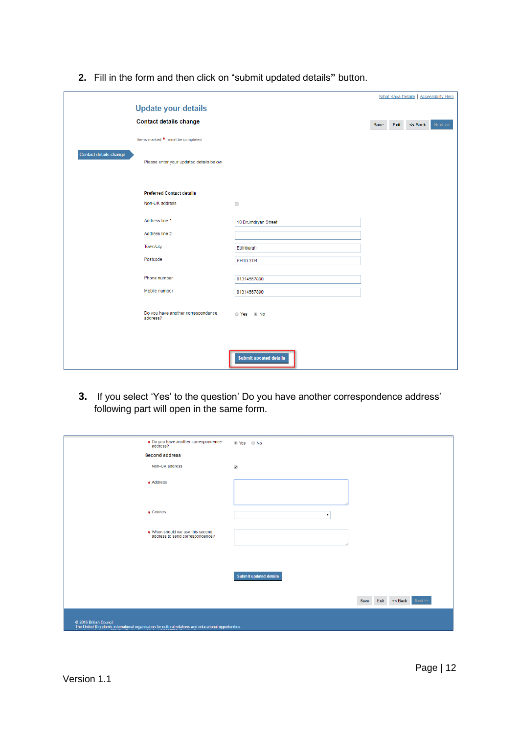|                                                                   |                               | Nihat Kaya Details   Accessibility Help |
|-------------------------------------------------------------------|-------------------------------|-----------------------------------------|
| <b>Update your details</b>                                        |                               |                                         |
| <b>Contact details change</b>                                     |                               | Exit<br><< Back<br>Next >><br>Save      |
| Items marked * must be completed                                  |                               |                                         |
| Contact details change<br>Please enter your updated details below |                               |                                         |
| <b>Preferred Contact details</b><br>Non-UK address                | $\Box$                        |                                         |
| Address line 1                                                    | 10 Drumdryan Street           |                                         |
| Address line 2                                                    |                               |                                         |
| Town/city                                                         | Edinburgh                     |                                         |
| Postcode                                                          | <b>EH10 3TR</b>               |                                         |
| Phone number                                                      | 01314567890                   |                                         |
| Mobile number                                                     | 01314567890                   |                                         |
| Do you have another correspondence<br>address?                    | ⊙ Yes ⊚ No                    |                                         |
|                                                                   | <b>Submit updated details</b> |                                         |

**2.** Fill in the form and then click on "submit updated details**"** button.

**3.** If you select 'Yes' to the question' Do you have another correspondence address' following part will open in the same form.

| * Do you have another correspondence<br>address?                                                                                | ◉ Yes ⊙ No                      |
|---------------------------------------------------------------------------------------------------------------------------------|---------------------------------|
| <b>Second address</b>                                                                                                           |                                 |
| Non-UK address                                                                                                                  | $\blacktriangledown$            |
| * Address                                                                                                                       |                                 |
|                                                                                                                                 |                                 |
|                                                                                                                                 |                                 |
| * Country                                                                                                                       | $\mathbf{v}$                    |
| * When should we use this second                                                                                                |                                 |
| address to send correspondence?                                                                                                 |                                 |
|                                                                                                                                 |                                 |
|                                                                                                                                 |                                 |
|                                                                                                                                 | Submit updated details          |
|                                                                                                                                 |                                 |
|                                                                                                                                 | Exit<br><< Back<br>Next<br>Save |
|                                                                                                                                 |                                 |
| C 2016 British Council<br>The United Kingdom's international organisation for cultural relations and educational opportunities. |                                 |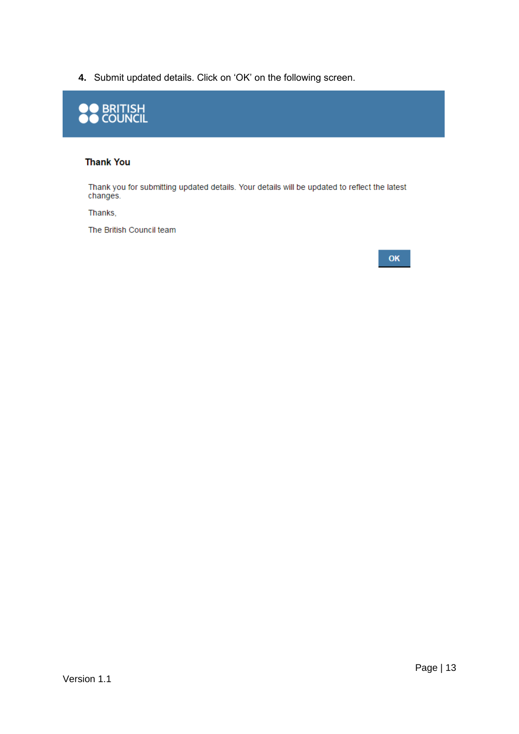**4.** Submit updated details. Click on 'OK' on the following screen.



#### **Thank You**

Thank you for submitting updated details. Your details will be updated to reflect the latest changes.

Thanks,

The British Council team

#### OK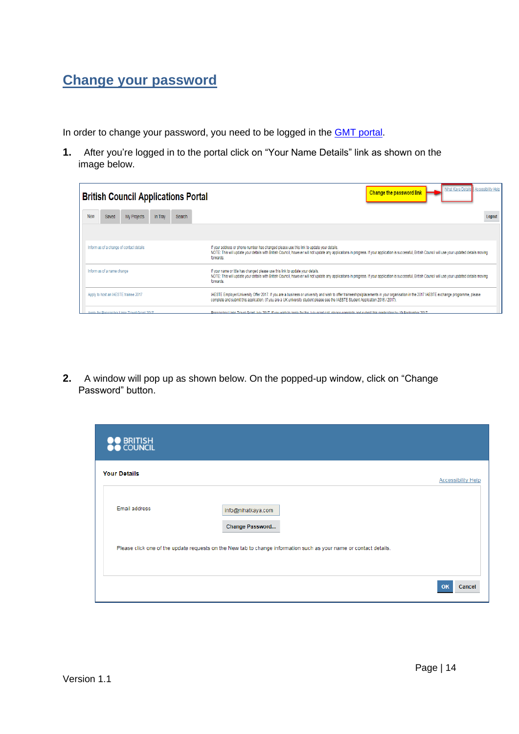### <span id="page-13-0"></span>**Change your password**

In order to change your password, you need to be logged in the **GMT** portal.

**1.** After you're logged in to the portal click on "Your Name Details" link as shown on the image below.

|     |                                                                                                                                                                                                                                                                                                                                                                      | <b>British Council Applications Portal</b>   |         |               | Nihat Kaya Details Accessibility Help<br><b>Change the password link</b>                                                                                                                                                                                                                                         |
|-----|----------------------------------------------------------------------------------------------------------------------------------------------------------------------------------------------------------------------------------------------------------------------------------------------------------------------------------------------------------------------|----------------------------------------------|---------|---------------|------------------------------------------------------------------------------------------------------------------------------------------------------------------------------------------------------------------------------------------------------------------------------------------------------------------|
| New | Saved                                                                                                                                                                                                                                                                                                                                                                | My Projects                                  | In Trav | <b>Search</b> | Logout                                                                                                                                                                                                                                                                                                           |
|     |                                                                                                                                                                                                                                                                                                                                                                      |                                              |         |               |                                                                                                                                                                                                                                                                                                                  |
|     |                                                                                                                                                                                                                                                                                                                                                                      | Inform us of a change of contact details     |         |               | If your address or phone number has changed please use this link to update your details.<br>NOTE: This will update your details with British Council, however will not update any applications in progress. If your application is successful, British Council will use your updated details moving<br>forwards. |
|     | Inform us of a name change<br>If your name or title has changed please use this link to update your details.<br>NOTE: This will update your details with British Council, however will not update any applications in progress. If your application is successful, British Council will use your updated details moving<br>forwards.                                 |                                              |         |               |                                                                                                                                                                                                                                                                                                                  |
|     | IAESTE Employer/University Offer 2017. If you are a business or university and wish to offer traineeships/placements in your organisation in the 2017 IAESTE exchange programme, please<br>Apply to host an IAESTE trainee 2017<br>complete and submit this application. (If you are a UK university student please see the IAESTE Student Application 2016 / 2017). |                                              |         |               |                                                                                                                                                                                                                                                                                                                  |
|     |                                                                                                                                                                                                                                                                                                                                                                      | Annly for Researcher Links Travel Grant 2017 |         |               | Researcher Links Travel Grant July 2017 If you wish to anniy for the July grant call please complete and submit this annijcation by 19 September 2017                                                                                                                                                            |

**2.** A window will pop up as shown below. On the popped-up window, click on "Change Password" button.

| O BRITISH<br>○ COUNCIL |                                                                                                                    |                           |
|------------------------|--------------------------------------------------------------------------------------------------------------------|---------------------------|
| <b>Your Details</b>    |                                                                                                                    | <b>Accessibility Help</b> |
| Email address          | info@nihatkaya.com<br>Change Password                                                                              |                           |
|                        | Please click one of the update requests on the New tab to change information such as your name or contact details. |                           |
|                        |                                                                                                                    | OK<br>Cancel              |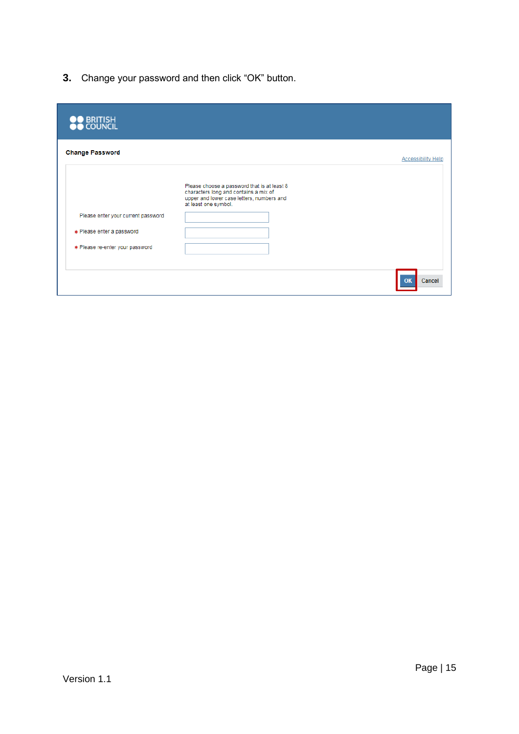**3.** Change your password and then click "OK" button.

| <b>Change Password</b><br>Please choose a password that is at least 8<br>characters long and contains a mix of<br>upper and lower case letters, numbers and<br>at least one symbol. | <b>Accessibility Help</b> |
|-------------------------------------------------------------------------------------------------------------------------------------------------------------------------------------|---------------------------|
|                                                                                                                                                                                     |                           |
|                                                                                                                                                                                     |                           |
| Please enter your current password                                                                                                                                                  |                           |
| * Please enter a password                                                                                                                                                           |                           |
| * Please re-enter your password                                                                                                                                                     |                           |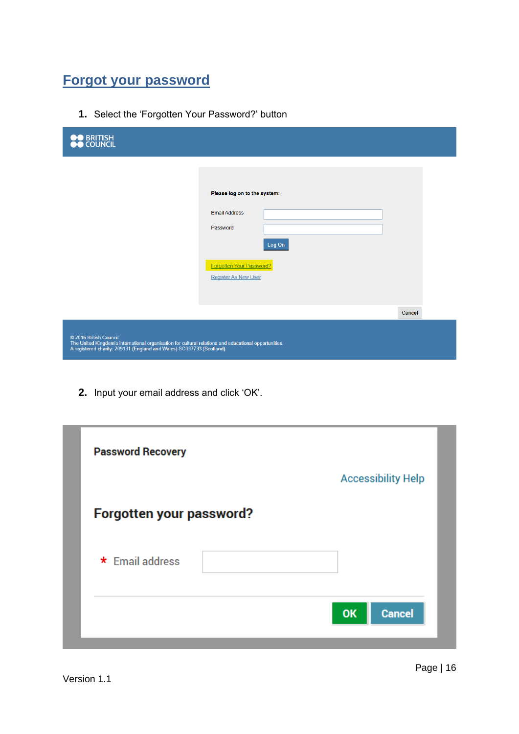### <span id="page-15-0"></span>**Forgot your password**

**1.** Select the 'Forgotten Your Password?' button

| <b>OO</b> BRITISH<br><b>OO</b> COUNCIL                                                                                                                                                                   |                                                                                                                                       |        |
|----------------------------------------------------------------------------------------------------------------------------------------------------------------------------------------------------------|---------------------------------------------------------------------------------------------------------------------------------------|--------|
|                                                                                                                                                                                                          | Please log on to the system:<br><b>Email Address</b><br>Password<br>Log On<br>Forgotten Your Password?<br><b>Register As New User</b> |        |
|                                                                                                                                                                                                          |                                                                                                                                       | Cancel |
| © 2016 British Council<br>The United Kingdom's international organisation for cultural relations and educational opportunities.<br>A registered charity: 209131 (England and Wales) SC037733 (Scotland). |                                                                                                                                       |        |

**2.** Input your email address and click 'OK'.

| <b>Password Recovery</b> | <b>Accessibility Help</b>  |
|--------------------------|----------------------------|
| Forgotten your password? |                            |
| * Email address          |                            |
|                          | <b>Cancel</b><br><b>OK</b> |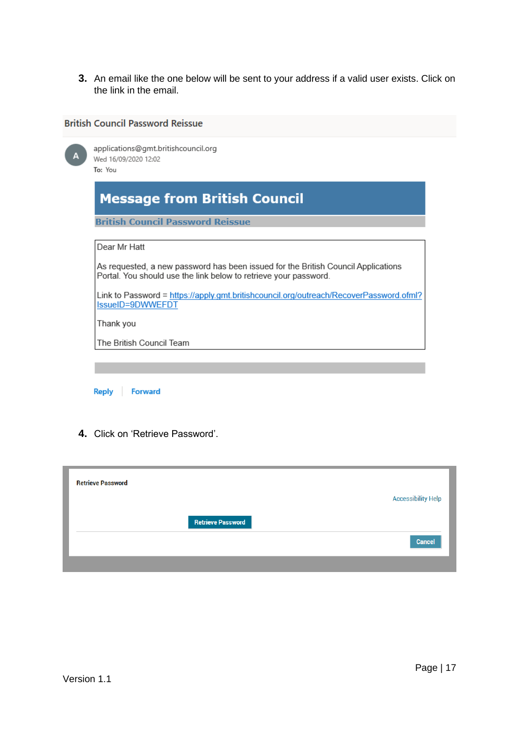**3.** An email like the one below will be sent to your address if a valid user exists. Click on the link in the email.

### **British Council Password Reissue**

| А | applications@gmt.britishcouncil.org<br>Wed 16/09/2020 12:02<br>To: You                                                                                |
|---|-------------------------------------------------------------------------------------------------------------------------------------------------------|
|   | <b>Message from British Council</b>                                                                                                                   |
|   | <b>British Council Password Reissue</b>                                                                                                               |
|   | Dear Mr Hatt                                                                                                                                          |
|   | As requested, a new password has been issued for the British Council Applications<br>Portal. You should use the link below to retrieve your password. |
|   | Link to Password = https://apply.gmt.britishcouncil.org/outreach/RecoverPassword.ofml?<br>IssueID=9DWWEFDT                                            |
|   | Thank you                                                                                                                                             |
|   | The British Council Team                                                                                                                              |
|   |                                                                                                                                                       |

Reply Forward

**4.** Click on 'Retrieve Password'.

| <b>Retrieve Password</b> |                          |                           |
|--------------------------|--------------------------|---------------------------|
|                          |                          | <b>Accessibility Help</b> |
|                          | <b>Retrieve Password</b> |                           |
|                          |                          | Cancel                    |
|                          |                          |                           |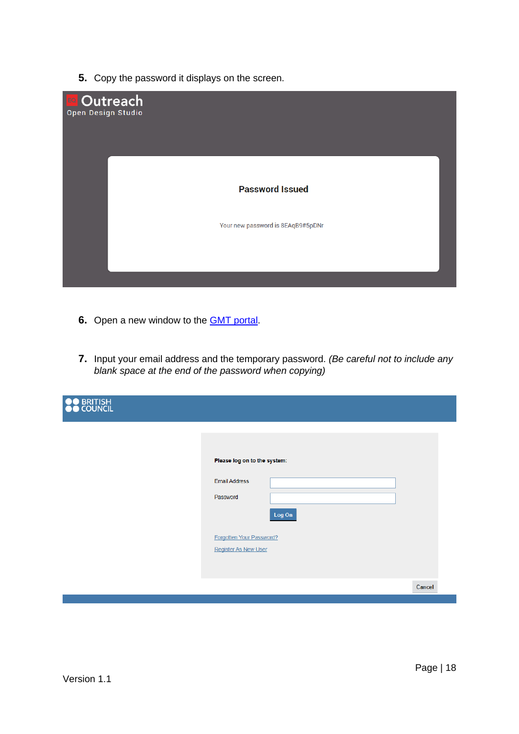**5.** Copy the password it displays on the screen.



- **6.** Open a new window to the [GMT portal.](https://apply.gmt.britishcouncil.org/outreach/workbench.ofml)
- **7.** Input your email address and the temporary password. *(Be careful not to include any blank space at the end of the password when copying)*

| <b>BRITISH</b><br>COUNCIL |                              |        |        |
|---------------------------|------------------------------|--------|--------|
|                           |                              |        |        |
|                           | Please log on to the system: |        |        |
|                           | <b>Email Address</b>         |        |        |
|                           | Password                     |        |        |
|                           |                              | Log On |        |
|                           | Forgotten Your Password?     |        |        |
|                           | <b>Register As New User</b>  |        |        |
|                           |                              |        |        |
|                           |                              |        | Cancel |